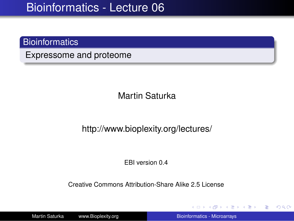### **Bioinformatics**

Expressome and proteome

Martin Saturka

http://www.bioplexity.org/lectures/

EBI version 0.4

Creative Commons Attribution-Share Alike 2.5 License

Martin Saturka www.Bioplexity.org Bionformatics - Microarrays

イロト イ押 トイヨ トイヨ トー

÷.

<span id="page-0-0"></span> $2990$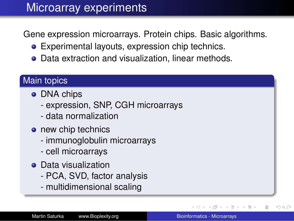## Microarray experiments

Gene expression microarrays. Protein chips. Basic algorithms.

- Experimental layouts, expression chip technics.
- Data extraction and visualization, linear methods.

### Main topics

- DNA chips
	- expression, SNP, CGH microarrays
	- data normalization
- o new chip technics
	- immunoglobulin microarrays
	- cell microarrays
- **•** Data visualization
	- PCA, SVD, factor analysis
	- multidimensional scaling

 $290$ 

重き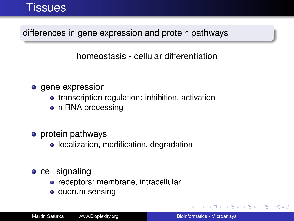### Tissues

differences in gene expression and protein pathways

homeostasis - cellular differentiation

- o gene expression
	- transcription regulation: inhibition, activation
	- mRNA processing
- protein pathways
	- localization, modification, degradation
- $\bullet$  cell signaling
	- receptors: membrane, intracellular
	- quorum sensing

K 何 ▶ K ヨ ▶ K ヨ ▶

B

 $QQ$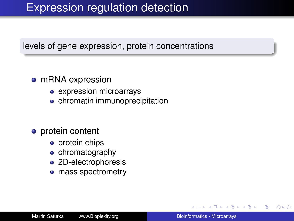## Expression regulation detection

#### levels of gene expression, protein concentrations

#### • mRNA expression

- expression microarrays
- **•** chromatin immunoprecipitation

#### • protein content

- protein chips
- chromatography
- 2D-electrophoresis
- mass spectrometry  $\bullet$

4 重っ

 $QQ$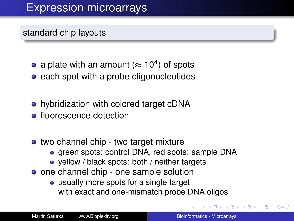# Expression microarrays

standard chip layouts

- a plate with an amount ( $\approx$  10<sup>4</sup>) of spots
- each spot with a probe oligonucleotides
- hybridization with colored target cDNA
- **•** fluorescence detection
- two channel chip two target mixture
	- green spots: control DNA, red spots: sample DNA
	- yellow / black spots: both / neither targets
- one channel chip one sample solution
	- usually more spots for a single target with exact and one-mismatch probe DNA oligos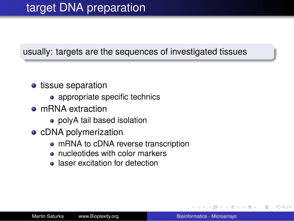#### usually: targets are the sequences of investigated tissues

- tissue separation
	- appropriate specific technics
- mRNA extraction
	- polyA tail based isolation
- cDNA polymerization
	- mRNA to cDNA reverse transcription
	- nucleotides with color markers
	- laser excitation for detection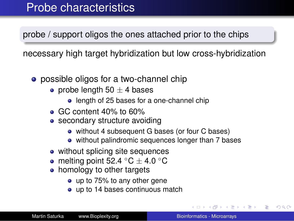### Probe characteristics

probe / support oligos the ones attached prior to the chips

necessary high target hybridization but low cross-hybridization

- **•** possible oligos for a two-channel chip
	- probe length 50  $\pm$  4 bases
		- **•** length of 25 bases for a one-channel chip
	- GC content 40% to 60%
	- secondary structure avoiding
		- without 4 subsequent G bases (or four C bases)
		- without palindromic sequences longer than 7 bases
	- without splicing site sequences
	- melting point 52.4  $\degree$ C  $\pm$  4.0  $\degree$ C
	- homology to other targets
		- up to 75% to any other gene
		- up to 14 bases continuous match

 $2990$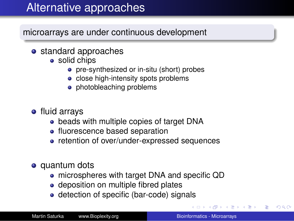# Alternative approaches

microarrays are under continuous development

- standard approaches
	- solid chips
		- **•** pre-synthesized or in-situ (short) probes
		- close high-intensity spots problems
		- photobleaching problems
- **•** fluid arrays
	- beads with multiple copies of target DNA
	- fluorescence based separation
	- retention of over/under-expressed sequences
- quantum dots
	- microspheres with target DNA and specific QD
	- deposition on multiple fibred plates
	- detection of specific (bar-code) signals

す重き。 B  $QQ$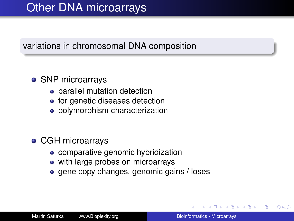# Other DNA microarrays

#### variations in chromosomal DNA composition

### • SNP microarrays

- parallel mutation detection
- for genetic diseases detection
- polymorphism characterization

### CGH microarrays

- comparative genomic hybridization
- with large probes on microarrays
- gene copy changes, genomic gains / loses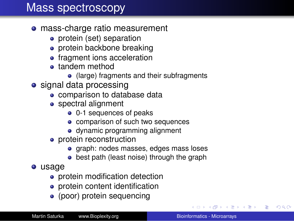### Mass spectroscopy

- mass-charge ratio measurement
	- protein (set) separation
	- protein backbone breaking
	- **•** fragment ions acceleration
	- **•** tandem method
		- (large) fragments and their subfragments
- signal data processing
	- comparison to database data
	- spectral alignment
		- 0-1 sequences of peaks
		- comparison of such two sequences
		- dynamic programming alignment
	- protein reconstruction
		- graph: nodes masses, edges mass loses
		- best path (least noise) through the graph
- usage
	- protein modification detection
	- protein content identification
	- (poor) protein sequencing

**K ロ ▶ K 何 ▶ K ヨ ▶ K ヨ ▶** 

÷.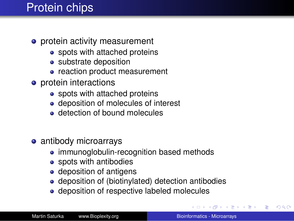## Protein chips

- **•** protein activity measurement
	- spots with attached proteins
	- substrate deposition
	- reaction product measurement
- **o** protein interactions
	- spots with attached proteins
	- deposition of molecules of interest
	- **o** detection of bound molecules
- antibody microarrays
	- immunoglobulin-recognition based methods
	- spots with antibodies
	- deposition of antigens
	- deposition of (biotinylated) detection antibodies
	- deposition of respective labeled molecules

4 <sub>伊</sub> ) 4

 $2990$ 

→ 重 トー G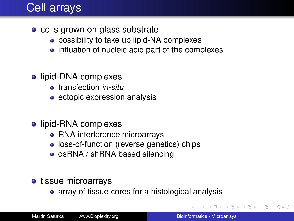## Cell arrays

- cells grown on glass substrate
	- **•** possibility to take up lipid-NA complexes
	- influation of nucleic acid part of the complexes
- lipid-DNA complexes
	- transfection *in-situ*
	- ectopic expression analysis
- lipid-RNA complexes
	- RNA interference microarrays
	- loss-of-function (reverse genetics) chips
	- dsRNA / shRNA based silencing
- tissue microarrays
	- array of tissue cores for a histological analysis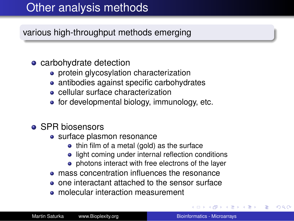# Other analysis methods

various high-throughput methods emerging

### • carbohydrate detection

- **•** protein glycosylation characterization
- antibodies against specific carbohydrates
- cellular surface characterization
- for developmental biology, immunology, etc.
- SPR biosensors
	- surface plasmon resonance
		- thin film of a metal (gold) as the surface
		- light coming under internal reflection conditions
		- photons interact with free electrons of the layer
	- **mass concentration influences the resonance**
	- one interactant attached to the sensor surface
	- **•** molecular interaction measurement

 $290$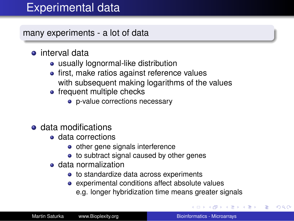# Experimental data

many experiments - a lot of data

- **•** interval data
	- usually lognormal-like distribution
	- first, make ratios against reference values with subsequent making logarithms of the values
	- frequent multiple checks
		- p-value corrections necessary
- **e** data modifications
	- **e** data corrections
		- other gene signals interference
		- to subtract signal caused by other genes
	- data normalization
		- to standardize data across experiments
		- experimental conditions affect absolute values e.g. longer hybridization time means greater signals

(ロ) (伊) (日)

 $\leftarrow \Xi \rightarrow$ 

 $QQ$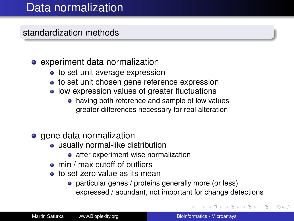## Data normalization

standardization methods

### • experiment data normalization

- to set unit average expression
- to set unit chosen gene reference expression
- low expression values of greater fluctuations
	- having both reference and sample of low values greater differences necessary for real alteration
- gene data normalization
	- usually normal-like distribution
		- after experiment-wise normalization
	- min / max cutoff of outliers
	- to set zero value as its mean
		- particular genes / proteins generally more (or less) expressed / abundant, not important for change detections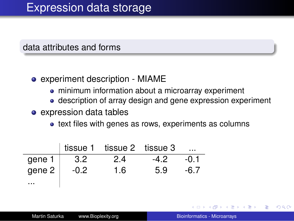data attributes and forms

#### experiment description - MIAME

- minimum information about a microarray experiment
- description of array design and gene expression experiment
- expression data tables
	- text files with genes as rows, experiments as columns

|          |        | tissue 1 tissue 2 tissue 3 |        | $\cdots$ |
|----------|--------|----------------------------|--------|----------|
| gene 1   | 3.2    | 2.4                        | $-4.2$ | -0.1     |
| gene 2   | $-0.2$ | 1.6                        | 5.9    | -6.7     |
| $\cdots$ |        |                            |        |          |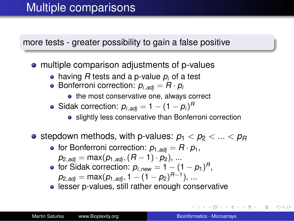more tests - greater possibility to gain a false positive

- multiple comparison adjustments of p-values
	- having *R* tests and a p-value *p<sup>i</sup>* of a test
	- Bonferroni correction:  $p_{i,adj} = R \cdot p_i$ 
		- the most conservative one, always correct
	- Sidak correction:  $p_{i,adj} = 1 (1 p_i)^R$ 
		- slightly less conservative than Bonferroni correction
- stepdown methods, with p-values:  $p_1 < p_2 < ... < p_R$ 
	- for Bonferroni correction:  $p_1$ <sub>adi</sub> =  $R \cdot p_1$ ,  $p_{2,adj} = \max(p_{1,adj}, (R-1) \cdot p_{2}), ...$
	- for Sidak correction:  $p_{i,new} = 1 (1 p_1)^R$ ,  $p_{2,adj} = \max(p_{1,adj}, 1 - (1 - p_{2})^{R-1}), ...$
	- **.** lesser p-values, still rather enough conservative

**K ロ ト K 何 ト K ヨ ト K ヨ ト**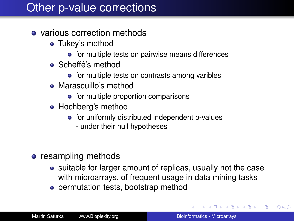## Other p-value corrections

- various correction methods
	- Tukey's method
		- for multiple tests on pairwise means differences
	- Scheffé's method
		- for multiple tests on contrasts among varibles
	- Marascuillo's method
		- $\bullet$  for multiple proportion comparisons
	- Hochberg's method
		- for uniformly distributed independent p-values
			- under their null hypotheses
- resampling methods
	- suitable for larger amount of replicas, usually not the case with microarrays, of frequent usage in data mining tasks
	- permutation tests, bootstrap method

**K ロ ▶ K 何 ▶ K ヨ ▶ K ヨ ▶** 

÷.  $QQ$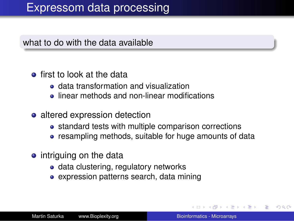### Expressom data processing

what to do with the data available

- **o** first to look at the data
	- data transformation and visualization
	- **.** linear methods and non-linear modifications
- altered expression detection
	- standard tests with multiple comparison corrections
	- resampling methods, suitable for huge amounts of data
- intriguing on the data
	- data clustering, regulatory networks
	- expression patterns search, data mining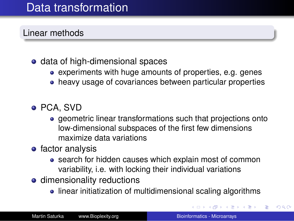## Data transformation

Linear methods

### • data of high-dimensional spaces

- experiments with huge amounts of properties, e.g. genes
- heavy usage of covariances between particular properties

### PCA, SVD

- geometric linear transformations such that projections onto low-dimensional subspaces of the first few dimensions maximize data variations
- factor analysis
	- search for hidden causes which explain most of common variability, i.e. with locking their individual variations
- **o** dimensionality reductions
	- linear initiatization of multidimensional scaling algorithms

**K ロ ト K 伊 ト K ヨ ト** 

 $\leftarrow \Xi \rightarrow$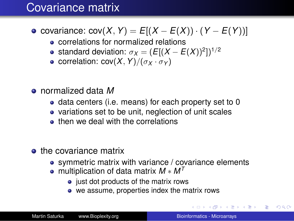## Covariance matrix

### $\bullet$  covariance: cov(*X*, *Y*) =  $E[(X – E(X)) \cdot (Y – E(Y))]$

- correlations for normalized relations
- standard deviation:  $\sigma_X = (E[(X E(X))^2])^{1/2}$
- **e** correlation:  $cov(X, Y)/(\sigma_X \cdot \sigma_Y)$
- normalized data *M*
	- data centers (i.e. means) for each property set to 0
	- variations set to be unit, neglection of unit scales
	- **o** then we deal with the correlations
- the covariance matrix
	- symmetric matrix with variance / covariance elements
	- multiplication of data matrix *M* ∗ *M<sup>T</sup>*
		- just dot products of the matrix rows
		- we assume, properties index the matrix rows

イロト イ押 トイヨ トイヨ トー

÷.  $QQ$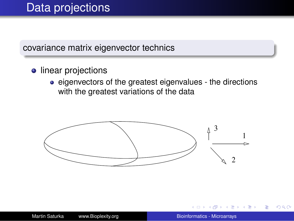## Data projections

#### covariance matrix eigenvector technics

- **o** linear projections
	- eigenvectors of the greatest eigenvalues the directions with the greatest variations of the data



重き B <span id="page-21-0"></span> $QQ$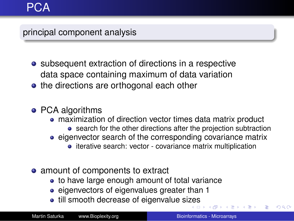### principal component analysis

- subsequent extraction of directions in a respective data space containing maximum of data variation
- the directions are orthogonal each other
- PCA algorithms
	- maximization of direction vector times data matrix product
		- **•** search for the other directions after the projection subtraction
	- eigenvector search of the corresponding covariance matrix
		- iterative search: vector covariance matrix multiplication
- amount of components to extract
	- to have large enough amount of total variance
	- eigenvectors of eigenvalues greater than 1
	- till smooth decrease of eigenvalue si[ze](#page-21-0)s

 $290$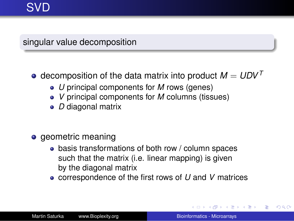# SVD

singular value decomposition

### $\bullet$  decomposition of the data matrix into product  $M = UDV^T$

- *U* principal components for *M* rows (genes)
- *V* principal components for *M* columns (tissues)
- *D* diagonal matrix
- geometric meaning
	- basis transformations of both row / column spaces such that the matrix (i.e. linear mapping) is given by the diagonal matrix
	- correspondence of the first rows of *U* and *V* matrices

イロメ イ押メ イヨメ イヨメー

ă.  $QQ$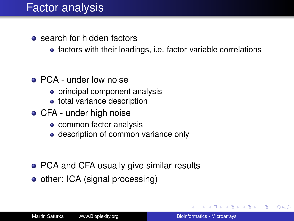## **Factor analysis**

- **o** search for hidden factors
	- factors with their loadings, i.e. factor-variable correlations
- PCA under low noise
	- principal component analysis
	- total variance description
- **CFA** under high noise
	- common factor analysis
	- description of common variance only
- PCA and CFA usually give similar results
- other: ICA (signal processing)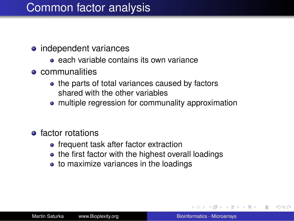## Common factor analysis

- independent variances
	- **e** each variable contains its own variance
- **o** communalities
	- the parts of total variances caused by factors shared with the other variables
	- multiple regression for communality approximation
- **e** factor rotations
	- frequent task after factor extraction
	- the first factor with the highest overall loadings
	- to maximize variances in the loadings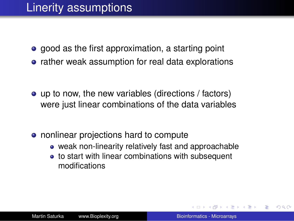## Linerity assumptions

- good as the first approximation, a starting point
- rather weak assumption for real data explorations

- up to now, the new variables (directions / factors) were just linear combinations of the data variables
- nonlinear projections hard to compute
	- weak non-linearity relatively fast and approachable
	- to start with linear combinations with subsequent modifications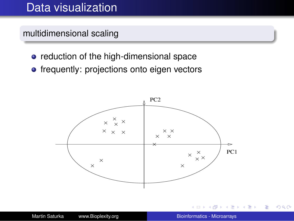### Data visualization

multidimensional scaling

- reduction of the high-dimensional space
- **•** frequently: projections onto eigen vectors



す重きし ÷.  $2990$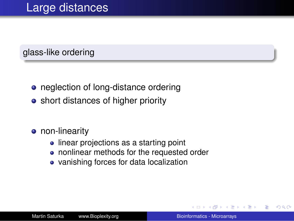### glass-like ordering

- neglection of long-distance ordering
- short distances of higher priority
- **•** non-linearity
	- linear projections as a starting point
	- nonlinear methods for the requested order
	- vanishing forces for data localization

重き ă  $QQ$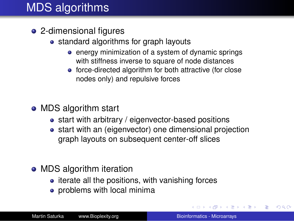# MDS algorithms

- 2-dimensional figures
	- standard algorithms for graph layouts
		- energy minimization of a system of dynamic springs with stiffness inverse to square of node distances
		- force-directed algorithm for both attractive (for close nodes only) and repulsive forces
- MDS algorithm start
	- start with arbitrary / eigenvector-based positions
	- start with an (eigenvector) one dimensional projection graph layouts on subsequent center-off slices
- MDS algorithm iteration
	- $\bullet$  iterate all the positions, with vanishing forces
	- problems with local minima

イロト イ押 トイヨ トイヨト

 $2990$ 

B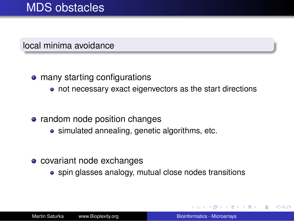### MDS obstacles

local minima avoidance

- many starting configurations
	- not necessary exact eigenvectors as the start directions
- random node position changes
	- simulated annealing, genetic algorithms, etc.
- covariant node exchanges
	- spin glasses analogy, mutual close nodes transitions

 $\leftarrow$   $\Box$ 

つへへ